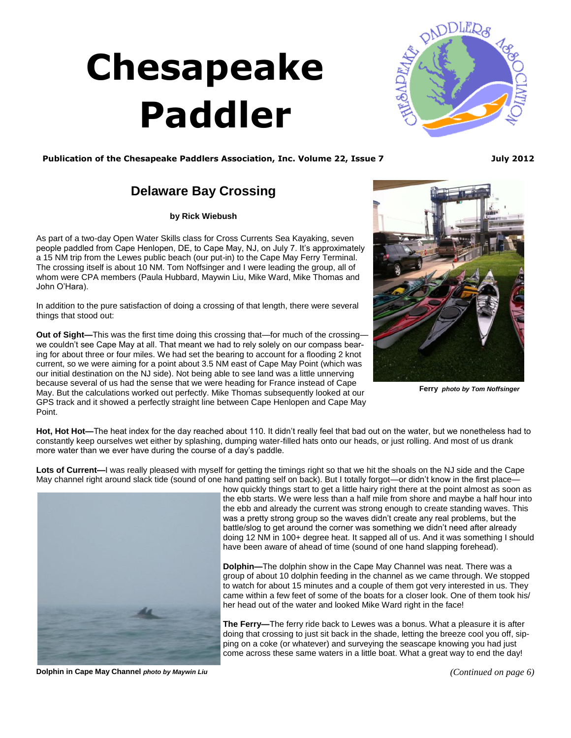## **Chesapeake Paddler**

<span id="page-0-0"></span>

Publication of the Chesapeake Paddlers Association, Inc. Volume 22, Issue 7 **July 2012** 

## **Delaware Bay Crossing**

**by Rick Wiebush** 

As part of a two-day Open Water Skills class for Cross Currents Sea Kayaking, seven people paddled from Cape Henlopen, DE, to Cape May, NJ, on July 7. It's approximately a 15 NM trip from the Lewes public beach (our put-in) to the Cape May Ferry Terminal. The crossing itself is about 10 NM. Tom Noffsinger and I were leading the group, all of whom were CPA members (Paula Hubbard, Maywin Liu, Mike Ward, Mike Thomas and John O'Hara).

In addition to the pure satisfaction of doing a crossing of that length, there were several things that stood out:

**Out of Sight—**This was the first time doing this crossing that—for much of the crossing we couldn't see Cape May at all. That meant we had to rely solely on our compass bearing for about three or four miles. We had set the bearing to account for a flooding 2 knot current, so we were aiming for a point about 3.5 NM east of Cape May Point (which was our initial destination on the NJ side). Not being able to see land was a little unnerving because several of us had the sense that we were heading for France instead of Cape May. But the calculations worked out perfectly. Mike Thomas subsequently looked at our GPS track and it showed a perfectly straight line between Cape Henlopen and Cape May Point.



**Ferry** *photo by Tom Noffsinger*

**Hot, Hot Hot—**The heat index for the day reached about 110. It didn't really feel that bad out on the water, but we nonetheless had to constantly keep ourselves wet either by splashing, dumping water-filled hats onto our heads, or just rolling. And most of us drank more water than we ever have during the course of a day's paddle.

**Lots of Current—**I was really pleased with myself for getting the timings right so that we hit the shoals on the NJ side and the Cape May channel right around slack tide (sound of one hand patting self on back). But I totally forgot—or didn't know in the first place—



how quickly things start to get a little hairy right there at the point almost as soon as the ebb starts. We were less than a half mile from shore and maybe a half hour into the ebb and already the current was strong enough to create standing waves. This was a pretty strong group so the waves didn't create any real problems, but the battle/slog to get around the corner was something we didn't need after already doing 12 NM in 100+ degree heat. It sapped all of us. And it was something I should have been aware of ahead of time (sound of one hand slapping forehead).

**Dolphin—**The dolphin show in the Cape May Channel was neat. There was a group of about 10 dolphin feeding in the channel as we came through. We stopped to watch for about 15 minutes and a couple of them got very interested in us. They came within a few feet of some of the boats for a closer look. One of them took his/ her head out of the water and looked Mike Ward right in the face!

**The Ferry—**The ferry ride back to Lewes was a bonus. What a pleasure it is after doing that crossing to just sit back in the shade, letting the breeze cool you off, sipping on a coke (or whatever) and surveying the seascape knowing you had just come across these same waters in a little boat. What a great way to end the day!

**Dolphin in Cape May Channel** *photo by Maywin Liu*

*[\(Continued on page 6\)](#page-1-0)*